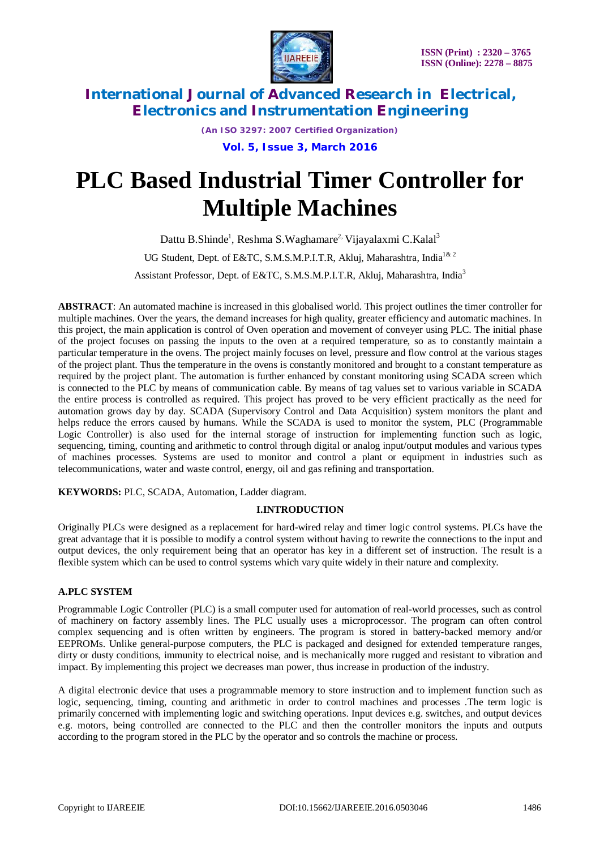

*(An ISO 3297: 2007 Certified Organization)*

**Vol. 5, Issue 3, March 2016**

# **PLC Based Industrial Timer Controller for Multiple Machines**

Dattu B.Shinde<sup>1</sup>, Reshma S.Waghamare<sup>2,</sup> Vijayalaxmi C.Kalal<sup>3</sup> UG Student, Dept. of E&TC, S.M.S.M.P.I.T.R, Aklui, Maharashtra. India<sup>1& 2</sup> Assistant Professor, Dept. of E&TC, S.M.S.M.P.I.T.R, Akluj, Maharashtra, India<sup>3</sup>

**ABSTRACT**: An automated machine is increased in this globalised world. This project outlines the timer controller for multiple machines. Over the years, the demand increases for high quality, greater efficiency and automatic machines. In this project, the main application is control of Oven operation and movement of conveyer using PLC. The initial phase of the project focuses on passing the inputs to the oven at a required temperature, so as to constantly maintain a particular temperature in the ovens. The project mainly focuses on level, pressure and flow control at the various stages of the project plant. Thus the temperature in the ovens is constantly monitored and brought to a constant temperature as required by the project plant. The automation is further enhanced by constant monitoring using SCADA screen which is connected to the PLC by means of communication cable. By means of tag values set to various variable in SCADA the entire process is controlled as required. This project has proved to be very efficient practically as the need for automation grows day by day. SCADA (Supervisory Control and Data Acquisition) system monitors the plant and helps reduce the errors caused by humans. While the SCADA is used to monitor the system, PLC (Programmable Logic Controller) is also used for the internal storage of instruction for implementing function such as logic, sequencing, timing, counting and arithmetic to control through digital or analog input/output modules and various types of machines processes. Systems are used to monitor and control a plant or equipment in industries such as telecommunications, water and waste control, energy, oil and gas refining and transportation.

**KEYWORDS:** PLC, SCADA, Automation, Ladder diagram.

### **I.INTRODUCTION**

Originally PLCs were designed as a replacement for hard-wired relay and timer logic control systems. PLCs have the great advantage that it is possible to modify a control system without having to rewrite the connections to the input and output devices, the only requirement being that an operator has key in a different set of instruction. The result is a flexible system which can be used to control systems which vary quite widely in their nature and complexity.

### **A.PLC SYSTEM**

Programmable Logic Controller (PLC) is a small computer used for automation of real-world processes, such as control of machinery on factory assembly lines. The PLC usually uses a microprocessor. The program can often control complex sequencing and is often written by engineers. The program is stored in battery-backed memory and/or EEPROMs. Unlike general-purpose computers, the PLC is packaged and designed for extended temperature ranges, dirty or dusty conditions, immunity to electrical noise, and is mechanically more rugged and resistant to vibration and impact. By implementing this project we decreases man power, thus increase in production of the industry.

A digital electronic device that uses a programmable memory to store instruction and to implement function such as logic, sequencing, timing, counting and arithmetic in order to control machines and processes .The term logic is primarily concerned with implementing logic and switching operations. Input devices e.g. switches, and output devices e.g. motors, being controlled are connected to the PLC and then the controller monitors the inputs and outputs according to the program stored in the PLC by the operator and so controls the machine or process.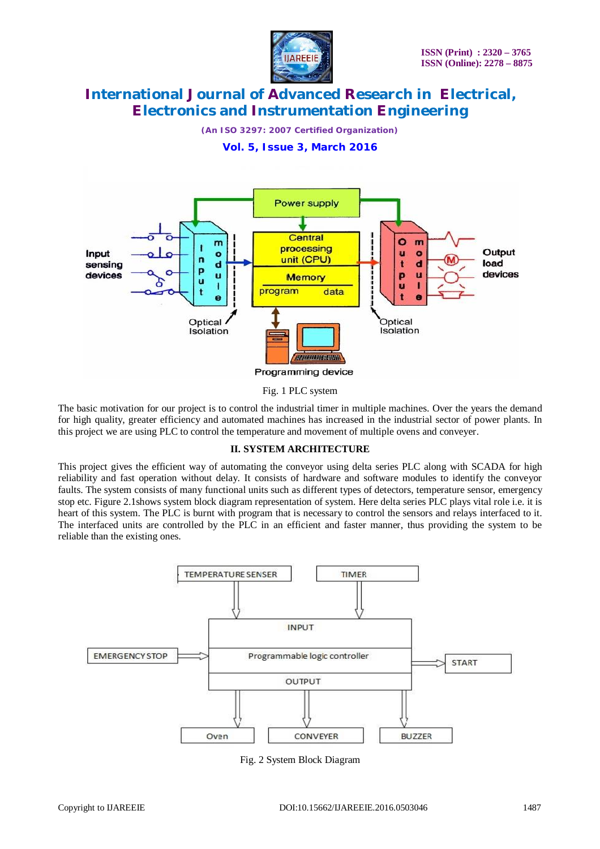

*(An ISO 3297: 2007 Certified Organization)*

**Vol. 5, Issue 3, March 2016**



Fig. 1 PLC system

The basic motivation for our project is to control the industrial timer in multiple machines. Over the years the demand for high quality, greater efficiency and automated machines has increased in the industrial sector of power plants. In this project we are using PLC to control the temperature and movement of multiple ovens and conveyer.

### **II. SYSTEM ARCHITECTURE**

This project gives the efficient way of automating the conveyor using delta series PLC along with SCADA for high reliability and fast operation without delay. It consists of hardware and software modules to identify the conveyor faults. The system consists of many functional units such as different types of detectors, temperature sensor, emergency stop etc. Figure 2.1shows system block diagram representation of system. Here delta series PLC plays vital role i.e. it is heart of this system. The PLC is burnt with program that is necessary to control the sensors and relays interfaced to it. The interfaced units are controlled by the PLC in an efficient and faster manner, thus providing the system to be reliable than the existing ones.



Fig. 2 System Block Diagram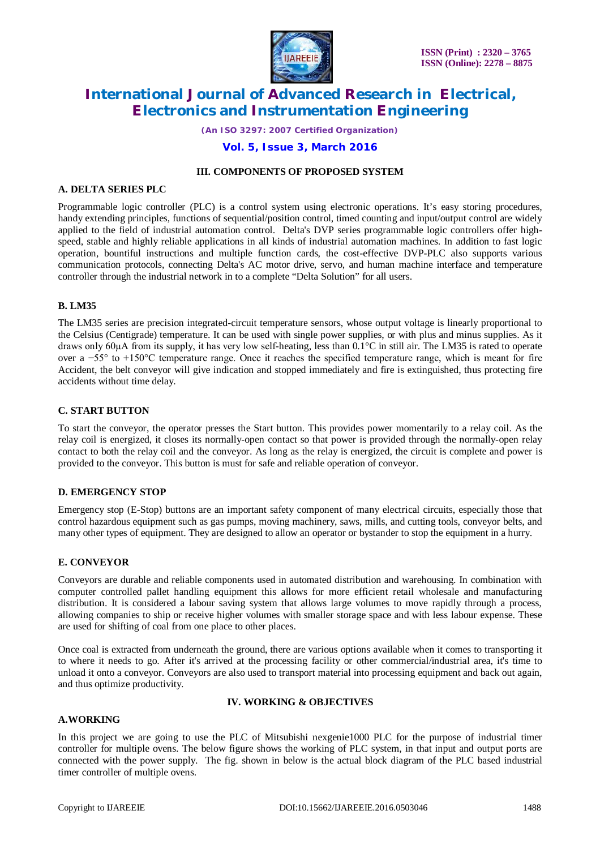

*(An ISO 3297: 2007 Certified Organization)*

#### **Vol. 5, Issue 3, March 2016**

#### **III. COMPONENTS OF PROPOSED SYSTEM**

#### **A. DELTA SERIES PLC**

Programmable logic controller (PLC) is a control system using electronic operations. It's easy storing procedures, handy extending principles, functions of sequential/position control, timed counting and input/output control are widely applied to the field of industrial automation control. Delta's DVP series programmable logic controllers offer highspeed, stable and highly reliable applications in all kinds of industrial automation machines. In addition to fast logic operation, bountiful instructions and multiple function cards, the cost-effective DVP-PLC also supports various communication protocols, connecting Delta's AC motor drive, servo, and human machine interface and temperature controller through the industrial network in to a complete "Delta Solution" for all users.

#### **B. LM35**

The LM35 series are precision integrated-circuit temperature sensors, whose output voltage is linearly proportional to the Celsius (Centigrade) temperature. It can be used with single power supplies, or with plus and minus supplies. As it draws only 60μA from its supply, it has very low self-heating, less than 0.1°C in still air. The LM35 is rated to operate over a −55° to +150°C temperature range. Once it reaches the specified temperature range, which is meant for fire Accident, the belt conveyor will give indication and stopped immediately and fire is extinguished, thus protecting fire accidents without time delay.

#### **C. START BUTTON**

To start the conveyor, the operator presses the Start button. This provides power momentarily to a relay coil. As the relay coil is energized, it closes its normally-open contact so that power is provided through the normally-open relay contact to both the relay coil and the conveyor. As long as the relay is energized, the circuit is complete and power is provided to the conveyor. This button is must for safe and reliable operation of conveyor.

#### **D. EMERGENCY STOP**

Emergency stop (E-Stop) buttons are an important safety component of many electrical circuits, especially those that control hazardous equipment such as gas pumps, moving machinery, saws, mills, and cutting tools, conveyor belts, and many other types of equipment. They are designed to allow an operator or bystander to stop the equipment in a hurry.

#### **E. CONVEYOR**

Conveyors are durable and reliable components used in automated distribution and warehousing. In combination with computer controlled pallet handling equipment this allows for more efficient retail wholesale and manufacturing distribution. It is considered a labour saving system that allows large volumes to move rapidly through a process, allowing companies to ship or receive higher volumes with smaller storage space and with less labour expense. These are used for shifting of coal from one place to other places.

Once coal is extracted from underneath the ground, there are various options available when it comes to transporting it to where it needs to go. After it's arrived at the processing facility or other commercial/industrial area, it's time to unload it onto a conveyor. Conveyors are also used to transport material into processing equipment and back out again, and thus optimize productivity.

#### **IV. WORKING & OBJECTIVES**

#### **A.WORKING**

In this project we are going to use the PLC of Mitsubishi nexgenie1000 PLC for the purpose of industrial timer controller for multiple ovens. The below figure shows the working of PLC system, in that input and output ports are connected with the power supply. The fig. shown in below is the actual block diagram of the PLC based industrial timer controller of multiple ovens.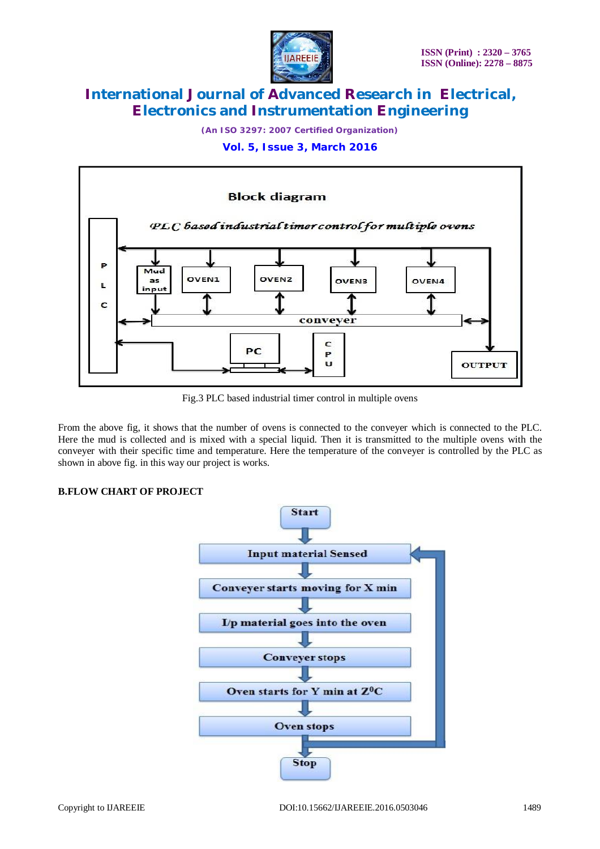

*(An ISO 3297: 2007 Certified Organization)*

**Vol. 5, Issue 3, March 2016**



Fig.3 PLC based industrial timer control in multiple ovens

From the above fig, it shows that the number of ovens is connected to the conveyer which is connected to the PLC. Here the mud is collected and is mixed with a special liquid. Then it is transmitted to the multiple ovens with the conveyer with their specific time and temperature. Here the temperature of the conveyer is controlled by the PLC as shown in above fig. in this way our project is works.

### **B.FLOW CHART OF PROJECT**

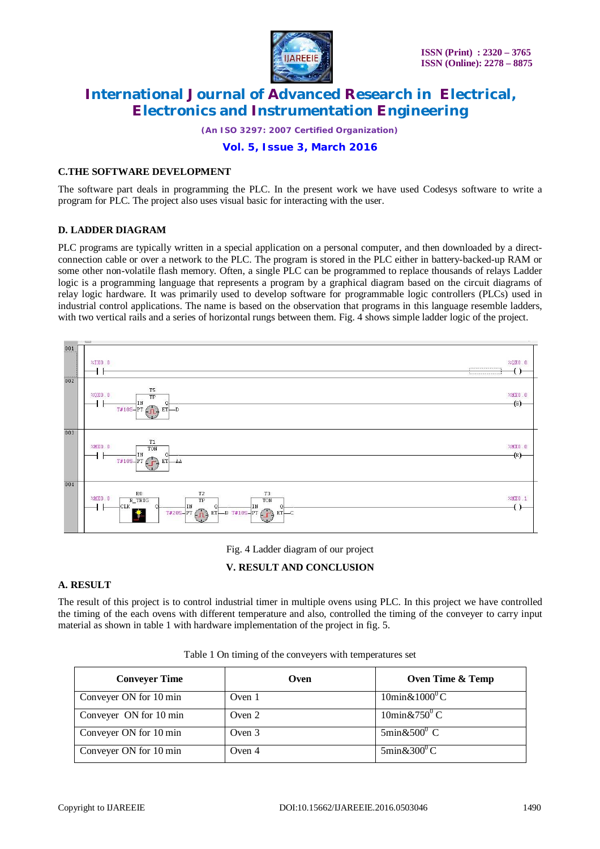

*(An ISO 3297: 2007 Certified Organization)*

### **Vol. 5, Issue 3, March 2016**

#### **C.THE SOFTWARE DEVELOPMENT**

The software part deals in programming the PLC. In the present work we have used Codesys software to write a program for PLC. The project also uses visual basic for interacting with the user.

#### **D. LADDER DIAGRAM**

PLC programs are typically written in a special application on a personal computer, and then downloaded by a directconnection cable or over a network to the PLC. The program is stored in the PLC either in battery-backed-up RAM or some other non-volatile flash memory. Often, a single PLC can be programmed to replace thousands of relays Ladder logic is a programming language that represents a program by a graphical diagram based on the circuit diagrams of relay logic hardware. It was primarily used to develop software for programmable logic controllers (PLCs) used in industrial control applications. The name is based on the observation that programs in this language resemble ladders, with two vertical rails and a series of horizontal rungs between them. Fig. 4 shows simple ladder logic of the project.



Fig. 4 Ladder diagram of our project

### **V. RESULT AND CONCLUSION**

#### **A. RESULT**

The result of this project is to control industrial timer in multiple ovens using PLC. In this project we have controlled the timing of the each ovens with different temperature and also, controlled the timing of the conveyer to carry input material as shown in table 1 with hardware implementation of the project in fig. 5.

| <b>Conveyer Time</b>   | Oven     | Oven Time & Temp                      |
|------------------------|----------|---------------------------------------|
| Conveyer ON for 10 min | Oven 1   | $10\text{min}\& 1000^{\circ}\text{C}$ |
| Conveyer ON for 10 min | Oven $2$ | $10\text{min}\& 750^{\circ} \text{C}$ |
| Conveyer ON for 10 min | Oven 3   | $5\text{min}\&500^{\circ} \text{ C}$  |
| Conveyer ON for 10 min | Oven 4   | $5\text{min}\&300^{\circ}\text{C}$    |

Table 1 On timing of the conveyers with temperatures set